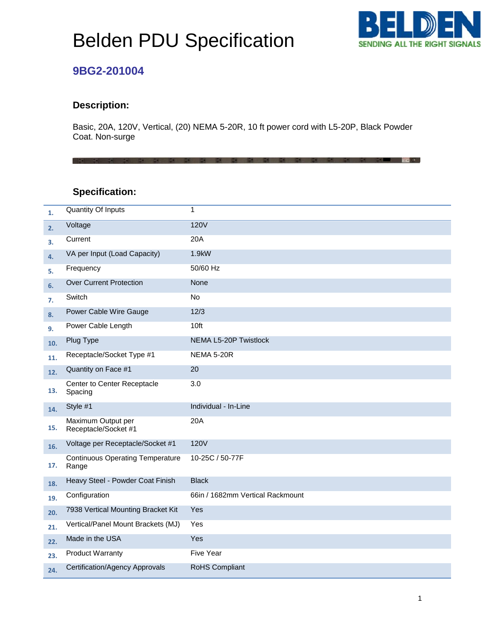# Belden PDU Specification



## **9BG2-201004**

### **Description:**

Basic, 20A, 120V, Vertical, (20) NEMA 5-20R, 10 ft power cord with L5-20P, Black Powder Coat. Non-surge

化二氯化物 医三氯化物 医三氯化物 医三角膜炎

#### **Specification:**

| 1.  | Quantity Of Inputs                               | 1                                |
|-----|--------------------------------------------------|----------------------------------|
| 2.  | Voltage                                          | <b>120V</b>                      |
| 3.  | Current                                          | 20A                              |
| 4.  | VA per Input (Load Capacity)                     | 1.9kW                            |
| 5.  | Frequency                                        | 50/60 Hz                         |
| 6.  | <b>Over Current Protection</b>                   | None                             |
| 7.  | Switch                                           | No                               |
| 8.  | Power Cable Wire Gauge                           | 12/3                             |
| 9.  | Power Cable Length                               | 10ft                             |
| 10. | Plug Type                                        | NEMA L5-20P Twistlock            |
| 11. | Receptacle/Socket Type #1                        | <b>NEMA 5-20R</b>                |
| 12. | Quantity on Face #1                              | 20                               |
| 13. | Center to Center Receptacle<br>Spacing           | 3.0                              |
| 14. | Style #1                                         | Individual - In-Line             |
| 15. | Maximum Output per<br>Receptacle/Socket #1       | 20A                              |
| 16. | Voltage per Receptacle/Socket #1                 | <b>120V</b>                      |
| 17. | <b>Continuous Operating Temperature</b><br>Range | 10-25C / 50-77F                  |
| 18. | Heavy Steel - Powder Coat Finish                 | <b>Black</b>                     |
| 19. | Configuration                                    | 66in / 1682mm Vertical Rackmount |
| 20. | 7938 Vertical Mounting Bracket Kit               | Yes                              |
| 21. | Vertical/Panel Mount Brackets (MJ)               | Yes                              |
| 22. | Made in the USA                                  | Yes                              |
| 23. | <b>Product Warranty</b>                          | Five Year                        |
| 24. | Certification/Agency Approvals                   | RoHS Compliant                   |